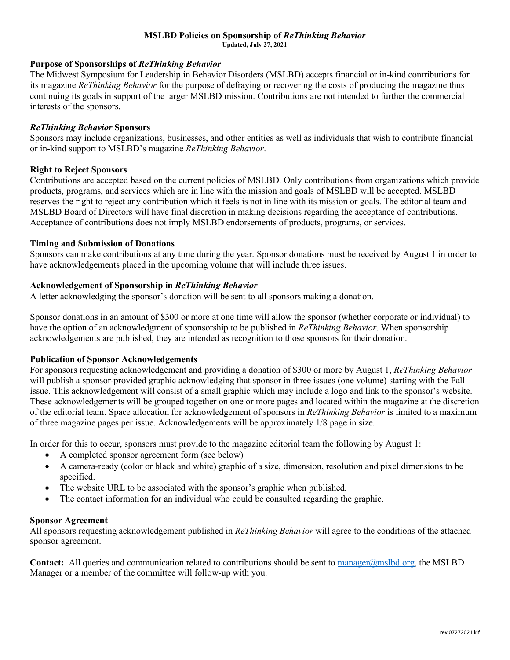#### **MSLBD Policies on Sponsorship of** *ReThinking Behavior* **Updated, July 27, 2021**

## **Purpose of Sponsorships of** *ReThinking Behavior*

The Midwest Symposium for Leadership in Behavior Disorders (MSLBD) accepts financial or in-kind contributions for its magazine *ReThinking Behavior* for the purpose of defraying or recovering the costs of producing the magazine thus continuing its goals in support of the larger MSLBD mission. Contributions are not intended to further the commercial interests of the sponsors.

### *ReThinking Behavior* **Sponsors**

Sponsors may include organizations, businesses, and other entities as well as individuals that wish to contribute financial or in-kind support to MSLBD's magazine *ReThinking Behavior*.

#### **Right to Reject Sponsors**

Contributions are accepted based on the current policies of MSLBD. Only contributions from organizations which provide products, programs, and services which are in line with the mission and goals of MSLBD will be accepted. MSLBD reserves the right to reject any contribution which it feels is not in line with its mission or goals. The editorial team and MSLBD Board of Directors will have final discretion in making decisions regarding the acceptance of contributions. Acceptance of contributions does not imply MSLBD endorsements of products, programs, or services.

#### **Timing and Submission of Donations**

Sponsors can make contributions at any time during the year. Sponsor donations must be received by August 1 in order to have acknowledgements placed in the upcoming volume that will include three issues.

## **Acknowledgement of Sponsorship in** *ReThinking Behavior*

A letter acknowledging the sponsor's donation will be sent to all sponsors making a donation.

Sponsor donations in an amount of \$300 or more at one time will allow the sponsor (whether corporate or individual) to have the option of an acknowledgment of sponsorship to be published in *ReThinking Behavior*. When sponsorship acknowledgements are published, they are intended as recognition to those sponsors for their donation.

## **Publication of Sponsor Acknowledgements**

For sponsors requesting acknowledgement and providing a donation of \$300 or more by August 1, *ReThinking Behavior* will publish a sponsor-provided graphic acknowledging that sponsor in three issues (one volume) starting with the Fall issue. This acknowledgement will consist of a small graphic which may include a logo and link to the sponsor's website. These acknowledgements will be grouped together on one or more pages and located within the magazine at the discretion of the editorial team. Space allocation for acknowledgement of sponsors in *ReThinking Behavior* is limited to a maximum of three magazine pages per issue. Acknowledgements will be approximately 1/8 page in size.

In order for this to occur, sponsors must provide to the magazine editorial team the following by August 1:

- A completed sponsor agreement form (see below)
- A camera-ready (color or black and white) graphic of a size, dimension, resolution and pixel dimensions to be specified.
- The website URL to be associated with the sponsor's graphic when published.
- The contact information for an individual who could be consulted regarding the graphic.

#### **Sponsor Agreement**

All sponsors requesting acknowledgement published in *ReThinking Behavior* will agree to the conditions of the attached sponsor agreement.

**Contact:** All queries and communication related to contributions should be sent to manager@mslbd.org, the MSLBD Manager or a member of the committee will follow-up with you.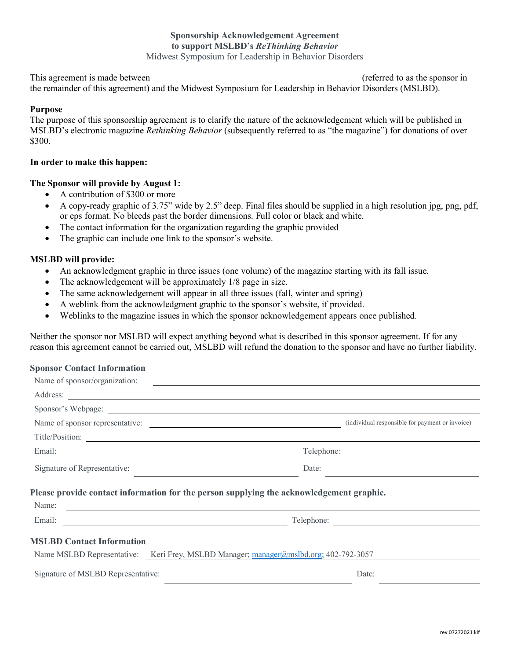This agreement is made between  $(referred to as the sponsor in)$ 

the remainder of this agreement) and the Midwest Symposium for Leadership in Behavior Disorders (MSLBD).

## **Purpose**

The purpose of this sponsorship agreement is to clarify the nature of the acknowledgement which will be published in MSLBD's electronic magazine *Rethinking Behavior* (subsequently referred to as "the magazine") for donations of over \$300.

### **In order to make this happen:**

## **The Sponsor will provide by August 1:**

- A contribution of \$300 or more
- A copy-ready graphic of 3.75" wide by 2.5" deep. Final files should be supplied in a high resolution jpg, png, pdf, or eps format. No bleeds past the border dimensions. Full color or black and white.
- The contact information for the organization regarding the graphic provided
- The graphic can include one link to the sponsor's website.

#### **MSLBD will provide:**

- An acknowledgment graphic in three issues (one volume) of the magazine starting with its fall issue.
- The acknowledgement will be approximately 1/8 page in size.
- The same acknowledgement will appear in all three issues (fall, winter and spring)
- A weblink from the acknowledgment graphic to the sponsor's website, if provided.
- Weblinks to the magazine issues in which the sponsor acknowledgement appears once published.

Neither the sponsor nor MSLBD will expect anything beyond what is described in this sponsor agreement. If for any reason this agreement cannot be carried out, MSLBD will refund the donation to the sponsor and have no further liability.

#### **Sponsor Contact Information**

| Name of sponsor/organization:<br><u> 1980 - Jan Samuel Barbara, margaret e populari e populari e populari e populari e populari e populari e pop</u>                                                                                 |                                                 |  |
|--------------------------------------------------------------------------------------------------------------------------------------------------------------------------------------------------------------------------------------|-------------------------------------------------|--|
| Address:<br><u> 1989 - Andrea Santa Alemania, amerikana amerikana amerikana amerikana amerikana amerikana amerikana amerikan</u>                                                                                                     |                                                 |  |
| Sponsor's Webpage:                                                                                                                                                                                                                   |                                                 |  |
| Name of sponsor representative:                                                                                                                                                                                                      | (individual responsible for payment or invoice) |  |
| Title/Position:                                                                                                                                                                                                                      |                                                 |  |
| Email: <u>International Communication</u>                                                                                                                                                                                            | Telephone:                                      |  |
| Signature of Representative:                                                                                                                                                                                                         | Date:                                           |  |
| Please provide contact information for the person supplying the acknowledgement graphic.                                                                                                                                             |                                                 |  |
| Name: $\qquad \qquad$                                                                                                                                                                                                                |                                                 |  |
| Email: <u>Constantino and Constantino and Constantino and Constantino and Constantino and Constantino and Constantino and Constantino and Constantino and Constantino and Constantino and Constantino and Constantino and Consta</u> | Telephone:                                      |  |
| <b>MSLBD Contact Information</b>                                                                                                                                                                                                     |                                                 |  |
| Name MSLBD Representative: Keri Frey, MSLBD Manager; manager@mslbd.org; 402-792-3057                                                                                                                                                 |                                                 |  |
| Signature of MSLBD Representative:                                                                                                                                                                                                   | Date:                                           |  |